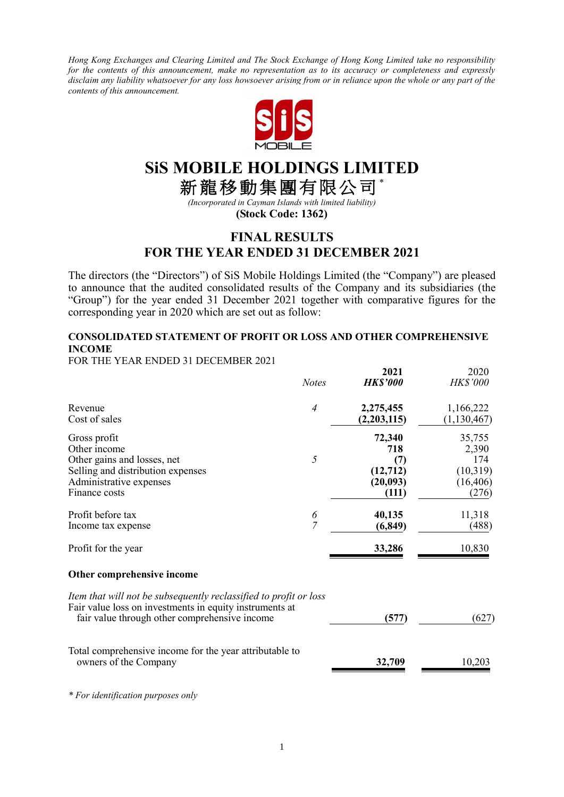*Hong Kong Exchanges and Clearing Limited and The Stock Exchange of Hong Kong Limited take no responsibility for the contents of this announcement, make no representation as to its accuracy or completeness and expressly disclaim any liability whatsoever for any loss howsoever arising from or in reliance upon the whole or any part of the contents of this announcement.*



# **SiS MOBILE HOLDINGS LIMITED**

新龍移動集團有限公司\*

*(Incorporated in Cayman Islands with limited liability)* **(Stock Code: 1362)**

## **FINAL RESULTS FOR THE YEAR ENDED 31 DECEMBER 2021**

The directors (the "Directors") of SiS Mobile Holdings Limited (the "Company") are pleased to announce that the audited consolidated results of the Company and its subsidiaries (the "Group") for the year ended 31 December 2021 together with comparative figures for the corresponding year in 2020 which are set out as follow:

## **CONSOLIDATED STATEMENT OF PROFIT OR LOSS AND OTHER COMPREHENSIVE INCOME**

**2021** 2020

FOR THE YEAR ENDED 31 DECEMBER 2021

|                                                                                                                                                                               | <b>Notes</b>        | AVAI<br><b>HK\$'000</b>                               | ∠∪∠∪<br><b>HK\$'000</b>                                  |
|-------------------------------------------------------------------------------------------------------------------------------------------------------------------------------|---------------------|-------------------------------------------------------|----------------------------------------------------------|
| Revenue<br>Cost of sales                                                                                                                                                      | $\overline{4}$      | 2,275,455<br>(2,203,115)                              | 1,166,222<br>(1, 130, 467)                               |
| Gross profit<br>Other income<br>Other gains and losses, net<br>Selling and distribution expenses<br>Administrative expenses<br>Finance costs                                  | 5                   | 72,340<br>718<br>(7)<br>(12,712)<br>(20,093)<br>(111) | 35,755<br>2,390<br>174<br>(10,319)<br>(16, 406)<br>(276) |
| Profit before tax<br>Income tax expense                                                                                                                                       | 6<br>$\overline{7}$ | 40,135<br>(6, 849)                                    | 11,318<br>(488)                                          |
| Profit for the year                                                                                                                                                           |                     | 33,286                                                | 10,830                                                   |
| Other comprehensive income                                                                                                                                                    |                     |                                                       |                                                          |
| Item that will not be subsequently reclassified to profit or loss<br>Fair value loss on investments in equity instruments at<br>fair value through other comprehensive income |                     | (577)                                                 | (627)                                                    |
| Total comprehensive income for the year attributable to<br>owners of the Company                                                                                              |                     | 32,709                                                | 10,203                                                   |

*\* For identification purposes only*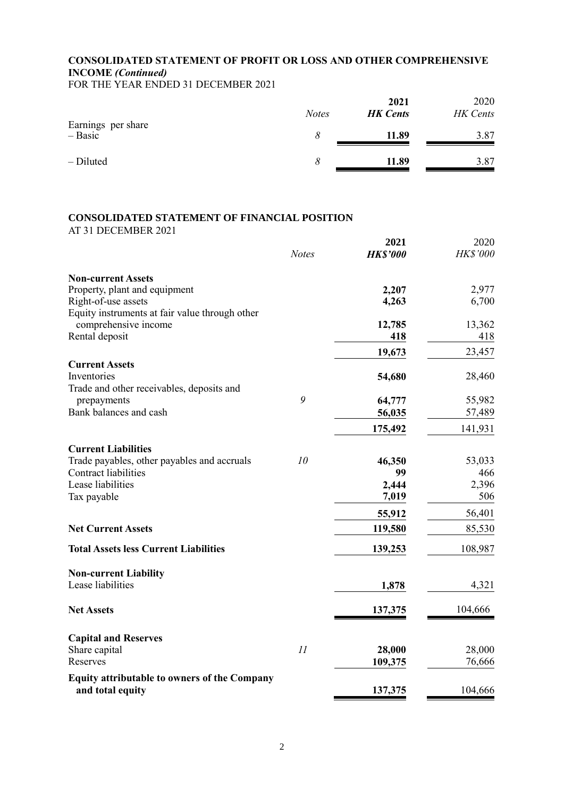## **CONSOLIDATED STATEMENT OF PROFIT OR LOSS AND OTHER COMPREHENSIVE INCOME** *(Continued)*

FOR THE YEAR ENDED 31 DECEMBER 2021

|                                 | <b>Notes</b> | 2021<br><b>HK</b> Cents | 2020<br>HK Cents |
|---------------------------------|--------------|-------------------------|------------------|
| Earnings per share<br>$-$ Basic |              | 11.89                   | 3.87             |
| - Diluted                       |              | 11.89                   | 3.87             |

## **CONSOLIDATED STATEMENT OF FINANCIAL POSITION**

|                                                                           |               | 2021            | 2020            |
|---------------------------------------------------------------------------|---------------|-----------------|-----------------|
|                                                                           | <b>Notes</b>  | <b>HK\$'000</b> | <b>HK\$'000</b> |
| <b>Non-current Assets</b>                                                 |               |                 |                 |
| Property, plant and equipment                                             |               | 2,207           | 2,977           |
| Right-of-use assets                                                       |               | 4,263           | 6,700           |
| Equity instruments at fair value through other                            |               |                 |                 |
| comprehensive income                                                      |               | 12,785          | 13,362          |
| Rental deposit                                                            |               | 418             | 418             |
|                                                                           |               | 19,673          | 23,457          |
| <b>Current Assets</b>                                                     |               |                 |                 |
| Inventories                                                               |               | 54,680          | 28,460          |
| Trade and other receivables, deposits and                                 |               |                 |                 |
| prepayments                                                               | 9             | 64,777          | 55,982          |
| Bank balances and cash                                                    |               | 56,035          | 57,489          |
|                                                                           |               | 175,492         | 141,931         |
|                                                                           |               |                 |                 |
| <b>Current Liabilities</b><br>Trade payables, other payables and accruals | 10            |                 |                 |
| <b>Contract liabilities</b>                                               |               | 46,350<br>99    | 53,033<br>466   |
| Lease liabilities                                                         |               | 2,444           | 2,396           |
| Tax payable                                                               |               | 7,019           | 506             |
|                                                                           |               |                 |                 |
|                                                                           |               | 55,912          | 56,401          |
| <b>Net Current Assets</b>                                                 |               | 119,580         | 85,530          |
| <b>Total Assets less Current Liabilities</b>                              |               | 139,253         | 108,987         |
| <b>Non-current Liability</b>                                              |               |                 |                 |
| Lease liabilities                                                         |               | 1,878           | 4,321           |
|                                                                           |               |                 |                 |
| <b>Net Assets</b>                                                         |               | 137,375         | 104,666         |
| <b>Capital and Reserves</b>                                               |               |                 |                 |
| Share capital                                                             | $\mathcal{I}$ | 28,000          | 28,000          |
| Reserves                                                                  |               | 109,375         | 76,666          |
| <b>Equity attributable to owners of the Company</b>                       |               |                 |                 |
| and total equity                                                          |               | 137,375         | 104,666         |
|                                                                           |               |                 |                 |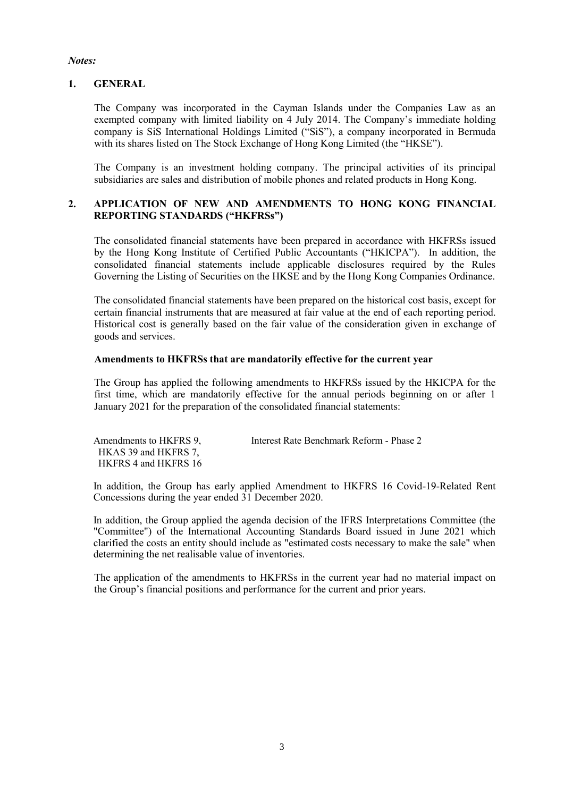#### *Notes:*

#### **1. GENERAL**

The Company was incorporated in the Cayman Islands under the Companies Law as an exempted company with limited liability on 4 July 2014. The Company's immediate holding company is SiS International Holdings Limited ("SiS"), a company incorporated in Bermuda with its shares listed on The Stock Exchange of Hong Kong Limited (the "HKSE").

The Company is an investment holding company. The principal activities of its principal subsidiaries are sales and distribution of mobile phones and related products in Hong Kong.

### **2. APPLICATION OF NEW AND AMENDMENTS TO HONG KONG FINANCIAL REPORTING STANDARDS ("HKFRSs")**

The consolidated financial statements have been prepared in accordance with HKFRSs issued by the Hong Kong Institute of Certified Public Accountants ("HKICPA"). In addition, the consolidated financial statements include applicable disclosures required by the Rules Governing the Listing of Securities on the HKSE and by the Hong Kong Companies Ordinance.

The consolidated financial statements have been prepared on the historical cost basis, except for certain financial instruments that are measured at fair value at the end of each reporting period. Historical cost is generally based on the fair value of the consideration given in exchange of goods and services.

#### **Amendments to HKFRSs that are mandatorily effective for the current year**

The Group has applied the following amendments to HKFRSs issued by the HKICPA for the first time, which are mandatorily effective for the annual periods beginning on or after 1 January 2021 for the preparation of the consolidated financial statements:

| Amendments to HKFRS 9. | Interest Rate Benchmark Reform - Phase 2 |
|------------------------|------------------------------------------|
| HKAS 39 and HKFRS 7,   |                                          |
| HKFRS 4 and HKFRS 16   |                                          |

In addition, the Group has early applied Amendment to HKFRS 16 Covid-19-Related Rent Concessions during the year ended 31 December 2020.

In addition, the Group applied the agenda decision of the IFRS Interpretations Committee (the "Committee") of the International Accounting Standards Board issued in June 2021 which clarified the costs an entity should include as "estimated costs necessary to make the sale" when determining the net realisable value of inventories.

The application of the amendments to HKFRSs in the current year had no material impact on the Group's financial positions and performance for the current and prior years.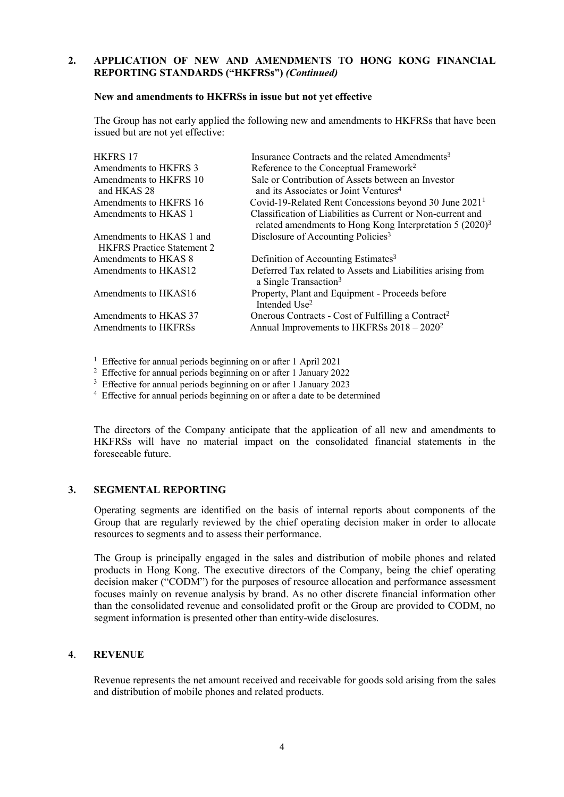#### **2. APPLICATION OF NEW AND AMENDMENTS TO HONG KONG FINANCIAL REPORTING STANDARDS ("HKFRSs")** *(Continued)*

#### **New and amendments to HKFRSs in issue but not yet effective**

The Group has not early applied the following new and amendments to HKFRSs that have been issued but are not yet effective:

| <b>HKFRS17</b>                    | Insurance Contracts and the related Amendments <sup>3</sup>                                                                |
|-----------------------------------|----------------------------------------------------------------------------------------------------------------------------|
| Amendments to HKFRS 3             | Reference to the Conceptual Framework <sup>2</sup>                                                                         |
| Amendments to HKFRS 10            | Sale or Contribution of Assets between an Investor                                                                         |
| and HKAS 28                       | and its Associates or Joint Ventures <sup>4</sup>                                                                          |
| Amendments to HKFRS 16            | Covid-19-Related Rent Concessions beyond 30 June 2021 <sup>1</sup>                                                         |
| Amendments to HKAS 1              | Classification of Liabilities as Current or Non-current and<br>related amendments to Hong Kong Interpretation $5 (2020)^3$ |
| Amendments to HKAS 1 and          | Disclosure of Accounting Policies <sup>3</sup>                                                                             |
| <b>HKFRS</b> Practice Statement 2 |                                                                                                                            |
| Amendments to HKAS 8              | Definition of Accounting Estimates <sup>3</sup>                                                                            |
| Amendments to HKAS12              | Deferred Tax related to Assets and Liabilities arising from<br>a Single Transaction <sup>3</sup>                           |
| Amendments to HKAS16              | Property, Plant and Equipment - Proceeds before<br>Intended Use <sup>2</sup>                                               |
| Amendments to HKAS 37             | Onerous Contracts - Cost of Fulfilling a Contract <sup>2</sup>                                                             |
| Amendments to HKFRSs              | Annual Improvements to HKFRSs 2018 - 2020 <sup>2</sup>                                                                     |

<sup>1</sup> Effective for annual periods beginning on or after 1 April 2021

<sup>2</sup> Effective for annual periods beginning on or after 1 January 2022

<sup>3</sup> Effective for annual periods beginning on or after 1 January 2023

<sup>4</sup> Effective for annual periods beginning on or after a date to be determined

The directors of the Company anticipate that the application of all new and amendments to HKFRSs will have no material impact on the consolidated financial statements in the foreseeable future.

#### **3. SEGMENTAL REPORTING**

Operating segments are identified on the basis of internal reports about components of the Group that are regularly reviewed by the chief operating decision maker in order to allocate resources to segments and to assess their performance.

The Group is principally engaged in the sales and distribution of mobile phones and related products in Hong Kong. The executive directors of the Company, being the chief operating decision maker ("CODM") for the purposes of resource allocation and performance assessment focuses mainly on revenue analysis by brand. As no other discrete financial information other than the consolidated revenue and consolidated profit or the Group are provided to CODM, no segment information is presented other than entity-wide disclosures.

#### **4**. **REVENUE**

Revenue represents the net amount received and receivable for goods sold arising from the sales and distribution of mobile phones and related products.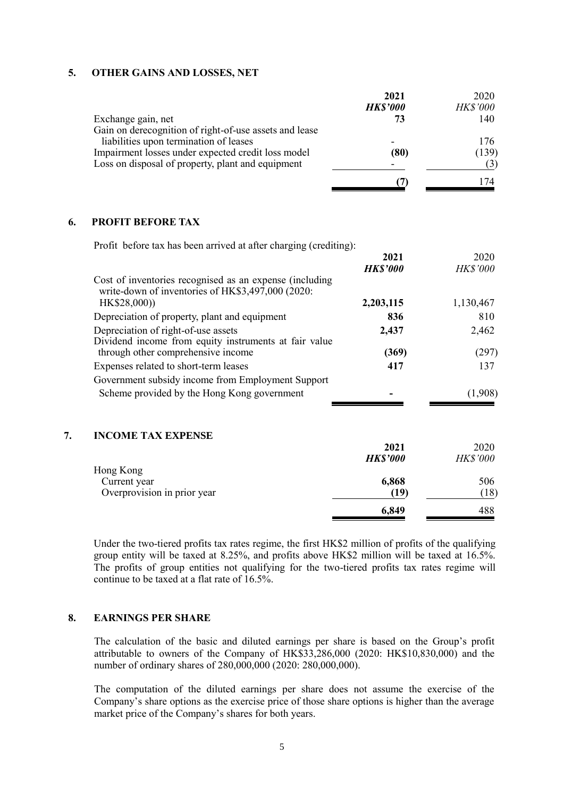#### **5. OTHER GAINS AND LOSSES, NET**

|                                                        | 2021                     | 2020     |
|--------------------------------------------------------|--------------------------|----------|
|                                                        | <b>HK\$'000</b>          | HK\$'000 |
| Exchange gain, net                                     | 73                       | 140      |
| Gain on derecognition of right-of-use assets and lease |                          |          |
| liabilities upon termination of leases                 | -                        | 176.     |
| Impairment losses under expected credit loss model     | (80)                     | (139)    |
| Loss on disposal of property, plant and equipment      | $\overline{\phantom{0}}$ |          |
|                                                        |                          | 74       |

#### **6. PROFIT BEFORE TAX**

| Profit before tax has been arrived at after charging (crediting):                                            |                 |                 |
|--------------------------------------------------------------------------------------------------------------|-----------------|-----------------|
|                                                                                                              | 2021            | 2020            |
|                                                                                                              | <b>HK\$'000</b> | <b>HK\$'000</b> |
| Cost of inventories recognised as an expense (including<br>write-down of inventories of HK\$3,497,000 (2020: |                 |                 |
| HK\$28,000)                                                                                                  | 2,203,115       | 1,130,467       |
| Depreciation of property, plant and equipment                                                                | 836             | 810             |
| Depreciation of right-of-use assets                                                                          | 2,437           | 2,462           |
| Dividend income from equity instruments at fair value                                                        |                 |                 |
| through other comprehensive income                                                                           | (369)           | (297)           |
| Expenses related to short-term leases                                                                        | 417             | 137             |
| Government subsidy income from Employment Support                                                            |                 |                 |
| Scheme provided by the Hong Kong government                                                                  |                 | (1,908)         |
|                                                                                                              |                 |                 |
|                                                                                                              |                 |                 |

## **7. INCOME TAX EXPENSE 2021** 2020 *HK\$'000 HK\$'000* Hong Kong Current year **6,868** 506 Overprovision in prior year **(19)** (18) **6,849** 488

Under the two-tiered profits tax rates regime, the first HK\$2 million of profits of the qualifying group entity will be taxed at 8.25%, and profits above HK\$2 million will be taxed at 16.5%. The profits of group entities not qualifying for the two-tiered profits tax rates regime will continue to be taxed at a flat rate of  $16.5\%$ 

#### **8. EARNINGS PER SHARE**

The calculation of the basic and diluted earnings per share is based on the Group's profit attributable to owners of the Company of HK\$33,286,000 (2020: HK\$10,830,000) and the number of ordinary shares of 280,000,000 (2020: 280,000,000).

The computation of the diluted earnings per share does not assume the exercise of the Company's share options as the exercise price of those share options is higher than the average market price of the Company's shares for both years.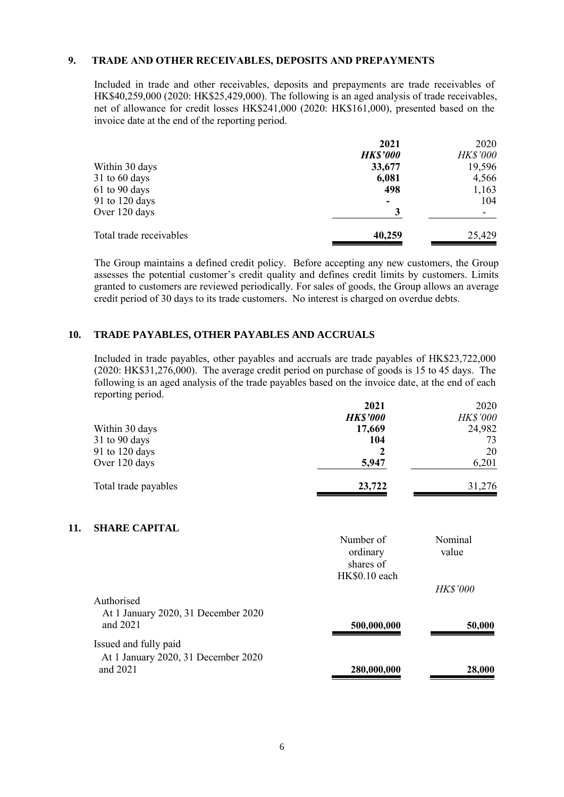#### **9. TRADE AND OTHER RECEIVABLES, DEPOSITS AND PREPAYMENTS**

Included in trade and other receivables, deposits and prepayments are trade receivables of HK\$40,259,000 (2020: HK\$25,429,000). The following is an aged analysis of trade receivables, net of allowance for credit losses HK\$241,000 (2020: HK\$161,000), presented based on the invoice date at the end of the reporting period.

|                         | 2021                     | 2020     |
|-------------------------|--------------------------|----------|
|                         | <b>HK\$'000</b>          | HK\$'000 |
| Within 30 days          | 33,677                   | 19,596   |
| 31 to 60 days           | 6,081                    | 4,566    |
| 61 to 90 days           | 498                      | 1,163    |
| 91 to 120 days          | $\overline{\phantom{0}}$ | 104      |
| Over 120 days           |                          | -        |
| Total trade receivables | 40,259                   | 25,429   |

The Group maintains a defined credit policy. Before accepting any new customers, the Group assesses the potential customer's credit quality and defines credit limits by customers. Limits granted to customers are reviewed periodically. For sales of goods, the Group allows an average credit period of 30 days to its trade customers. No interest is charged on overdue debts.

#### **10. TRADE PAYABLES, OTHER PAYABLES AND ACCRUALS**

Included in trade payables, other payables and accruals are trade payables of HK\$23,722,000 (2020: HK\$31,276,000). The average credit period on purchase of goods is 15 to 45 days. The following is an aged analysis of the trade payables based on the invoice date, at the end of each reporting period.

|                      | 2021            | 2020            |
|----------------------|-----------------|-----------------|
|                      | <b>HK\$'000</b> | <b>HK\$'000</b> |
| Within 30 days       | 17,669          | 24,982          |
| $31$ to 90 days      | 104             | 73              |
| 91 to 120 days       |                 | 20              |
| Over 120 days        | 5,947           | 6,201           |
| Total trade payables | 23,722          | 31,276          |

#### **11. SHARE CAPITAL**

|                                                               | Number of<br>ordinary<br>shares of | Nominal<br>value          |
|---------------------------------------------------------------|------------------------------------|---------------------------|
|                                                               | HK\$0.10 each                      |                           |
| Authorised<br>At 1 January 2020, 31 December 2020<br>and 2021 | 500,000,000                        | <b>HK\$'000</b><br>50,000 |
| Issued and fully paid<br>At 1 January 2020, 31 December 2020  |                                    |                           |
| and 2021                                                      | 280,000,000                        | 28,000                    |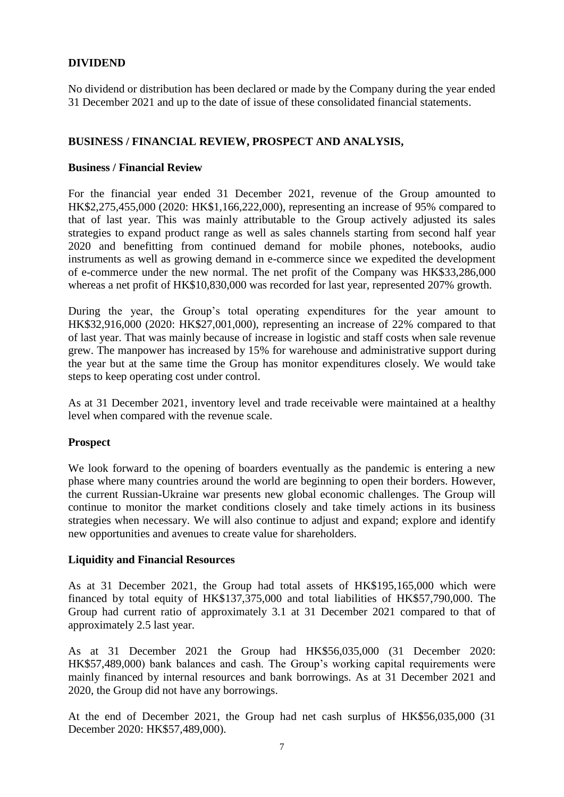## **DIVIDEND**

No dividend or distribution has been declared or made by the Company during the year ended 31 December 2021 and up to the date of issue of these consolidated financial statements.

## **BUSINESS / FINANCIAL REVIEW, PROSPECT AND ANALYSIS,**

#### **Business / Financial Review**

For the financial year ended 31 December 2021, revenue of the Group amounted to HK\$2,275,455,000 (2020: HK\$1,166,222,000), representing an increase of 95% compared to that of last year. This was mainly attributable to the Group actively adjusted its sales strategies to expand product range as well as sales channels starting from second half year 2020 and benefitting from continued demand for mobile phones, notebooks, audio instruments as well as growing demand in e-commerce since we expedited the development of e-commerce under the new normal. The net profit of the Company was HK\$33,286,000 whereas a net profit of HK\$10,830,000 was recorded for last year, represented 207% growth.

During the year, the Group's total operating expenditures for the year amount to HK\$32,916,000 (2020: HK\$27,001,000), representing an increase of 22% compared to that of last year. That was mainly because of increase in logistic and staff costs when sale revenue grew. The manpower has increased by 15% for warehouse and administrative support during the year but at the same time the Group has monitor expenditures closely. We would take steps to keep operating cost under control.

As at 31 December 2021, inventory level and trade receivable were maintained at a healthy level when compared with the revenue scale.

#### **Prospect**

We look forward to the opening of boarders eventually as the pandemic is entering a new phase where many countries around the world are beginning to open their borders. However, the current Russian-Ukraine war presents new global economic challenges. The Group will continue to monitor the market conditions closely and take timely actions in its business strategies when necessary. We will also continue to adjust and expand; explore and identify new opportunities and avenues to create value for shareholders.

#### **Liquidity and Financial Resources**

As at 31 December 2021, the Group had total assets of HK\$195,165,000 which were financed by total equity of HK\$137,375,000 and total liabilities of HK\$57,790,000. The Group had current ratio of approximately 3.1 at 31 December 2021 compared to that of approximately 2.5 last year.

As at 31 December 2021 the Group had HK\$56,035,000 (31 December 2020: HK\$57,489,000) bank balances and cash. The Group's working capital requirements were mainly financed by internal resources and bank borrowings. As at 31 December 2021 and 2020, the Group did not have any borrowings.

At the end of December 2021, the Group had net cash surplus of HK\$56,035,000 (31 December 2020: HK\$57,489,000).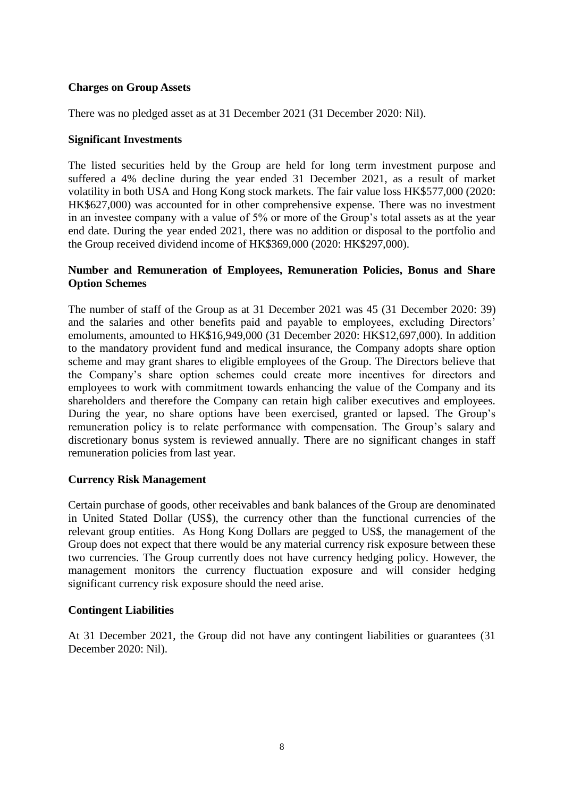## **Charges on Group Assets**

There was no pledged asset as at 31 December 2021 (31 December 2020: Nil).

#### **Significant Investments**

The listed securities held by the Group are held for long term investment purpose and suffered a 4% decline during the year ended 31 December 2021, as a result of market volatility in both USA and Hong Kong stock markets. The fair value loss HK\$577,000 (2020: HK\$627,000) was accounted for in other comprehensive expense. There was no investment in an investee company with a value of 5% or more of the Group's total assets as at the year end date. During the year ended 2021, there was no addition or disposal to the portfolio and the Group received dividend income of HK\$369,000 (2020: HK\$297,000).

## **Number and Remuneration of Employees, Remuneration Policies, Bonus and Share Option Schemes**

The number of staff of the Group as at 31 December 2021 was 45 (31 December 2020: 39) and the salaries and other benefits paid and payable to employees, excluding Directors' emoluments, amounted to HK\$16,949,000 (31 December 2020: HK\$12,697,000). In addition to the mandatory provident fund and medical insurance, the Company adopts share option scheme and may grant shares to eligible employees of the Group. The Directors believe that the Company's share option schemes could create more incentives for directors and employees to work with commitment towards enhancing the value of the Company and its shareholders and therefore the Company can retain high caliber executives and employees. During the year, no share options have been exercised, granted or lapsed. The Group's remuneration policy is to relate performance with compensation. The Group's salary and discretionary bonus system is reviewed annually. There are no significant changes in staff remuneration policies from last year.

## **Currency Risk Management**

Certain purchase of goods, other receivables and bank balances of the Group are denominated in United Stated Dollar (US\$), the currency other than the functional currencies of the relevant group entities. As Hong Kong Dollars are pegged to US\$, the management of the Group does not expect that there would be any material currency risk exposure between these two currencies. The Group currently does not have currency hedging policy. However, the management monitors the currency fluctuation exposure and will consider hedging significant currency risk exposure should the need arise.

#### **Contingent Liabilities**

At 31 December 2021, the Group did not have any contingent liabilities or guarantees (31 December 2020: Nil).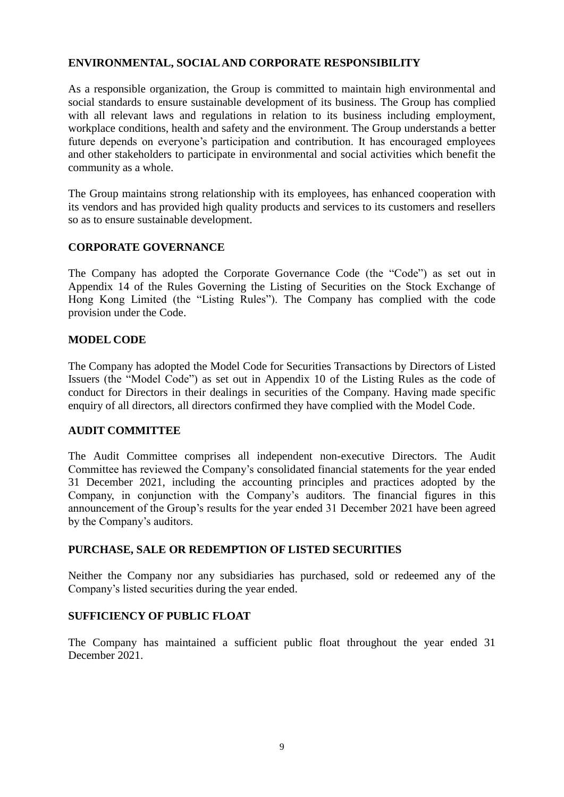## **ENVIRONMENTAL, SOCIAL AND CORPORATE RESPONSIBILITY**

As a responsible organization, the Group is committed to maintain high environmental and social standards to ensure sustainable development of its business. The Group has complied with all relevant laws and regulations in relation to its business including employment, workplace conditions, health and safety and the environment. The Group understands a better future depends on everyone's participation and contribution. It has encouraged employees and other stakeholders to participate in environmental and social activities which benefit the community as a whole.

The Group maintains strong relationship with its employees, has enhanced cooperation with its vendors and has provided high quality products and services to its customers and resellers so as to ensure sustainable development.

## **CORPORATE GOVERNANCE**

The Company has adopted the Corporate Governance Code (the "Code") as set out in Appendix 14 of the Rules Governing the Listing of Securities on the Stock Exchange of Hong Kong Limited (the "Listing Rules"). The Company has complied with the code provision under the Code.

#### **MODEL CODE**

The Company has adopted the Model Code for Securities Transactions by Directors of Listed Issuers (the "Model Code") as set out in Appendix 10 of the Listing Rules as the code of conduct for Directors in their dealings in securities of the Company. Having made specific enquiry of all directors, all directors confirmed they have complied with the Model Code.

## **AUDIT COMMITTEE**

The Audit Committee comprises all independent non-executive Directors. The Audit Committee has reviewed the Company's consolidated financial statements for the year ended 31 December 2021, including the accounting principles and practices adopted by the Company, in conjunction with the Company's auditors. The financial figures in this announcement of the Group's results for the year ended 31 December 2021 have been agreed by the Company's auditors.

#### **PURCHASE, SALE OR REDEMPTION OF LISTED SECURITIES**

Neither the Company nor any subsidiaries has purchased, sold or redeemed any of the Company's listed securities during the year ended.

#### **SUFFICIENCY OF PUBLIC FLOAT**

The Company has maintained a sufficient public float throughout the year ended 31 December 2021.